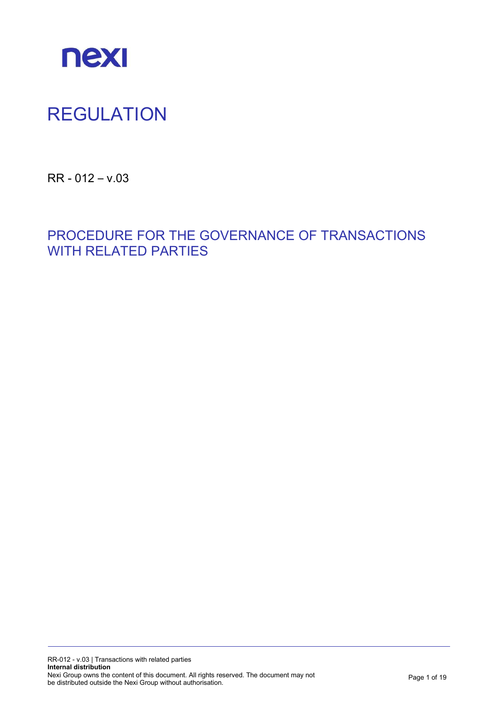

# REGULATION

RR - 012 – v.03

PROCEDURE FOR THE GOVERNANCE OF TRANSACTIONS WITH RELATED PARTIES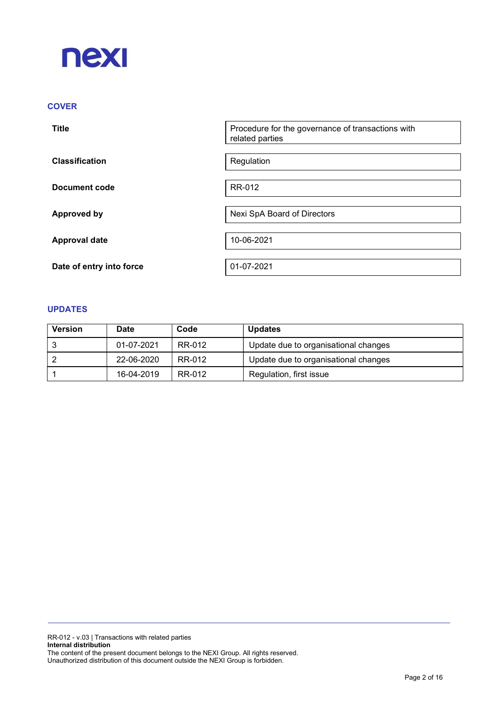

# **COVER**

| <b>Title</b>             | Procedure for the governance of transactions with<br>related parties |
|--------------------------|----------------------------------------------------------------------|
| <b>Classification</b>    | Regulation                                                           |
| Document code            | RR-012                                                               |
| <b>Approved by</b>       | Nexi SpA Board of Directors                                          |
| <b>Approval date</b>     | 10-06-2021                                                           |
| Date of entry into force | 01-07-2021                                                           |

# UPDATES

| <b>Version</b> | Date       | Code   | <b>Updates</b>                       |
|----------------|------------|--------|--------------------------------------|
|                | 01-07-2021 | RR-012 | Update due to organisational changes |
|                | 22-06-2020 | RR-012 | Update due to organisational changes |
|                | 16-04-2019 | RR-012 | Regulation, first issue              |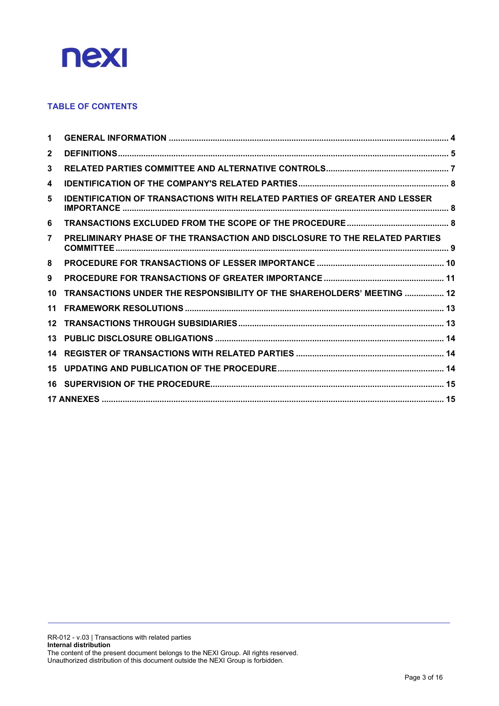

# TABLE OF CONTENTS

| 1              |                                                                                  |  |
|----------------|----------------------------------------------------------------------------------|--|
| $\mathbf{2}$   |                                                                                  |  |
| 3              |                                                                                  |  |
| 4              |                                                                                  |  |
| 5              | <b>IDENTIFICATION OF TRANSACTIONS WITH RELATED PARTIES OF GREATER AND LESSER</b> |  |
| 6              |                                                                                  |  |
| $\overline{7}$ | PRELIMINARY PHASE OF THE TRANSACTION AND DISCLOSURE TO THE RELATED PARTIES       |  |
| 8              |                                                                                  |  |
| 9              |                                                                                  |  |
| 10             | TRANSACTIONS UNDER THE RESPONSIBILITY OF THE SHAREHOLDERS' MEETING  12           |  |
| 11             |                                                                                  |  |
| $12 \,$        |                                                                                  |  |
| 13             |                                                                                  |  |
| 14             |                                                                                  |  |
| 15             |                                                                                  |  |
| 16             |                                                                                  |  |
|                |                                                                                  |  |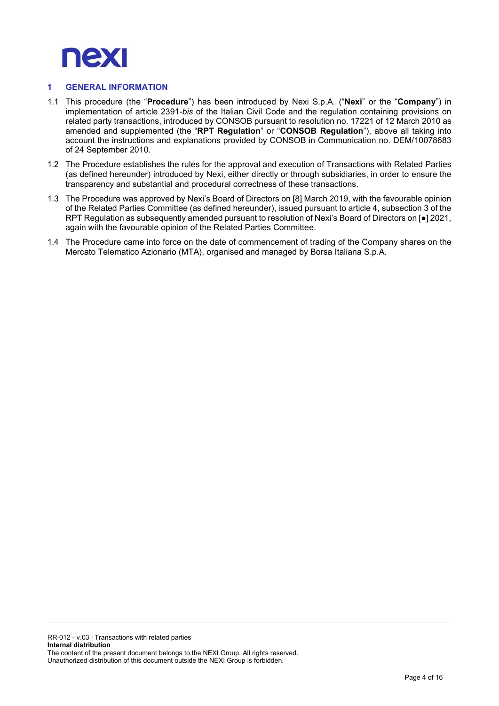

# 1 GENERAL INFORMATION

- 1.1 This procedure (the "Procedure") has been introduced by Nexi S.p.A. ("Nexi" or the "Company") in implementation of article 2391-bis of the Italian Civil Code and the regulation containing provisions on related party transactions, introduced by CONSOB pursuant to resolution no. 17221 of 12 March 2010 as amended and supplemented (the "RPT Regulation" or "CONSOB Regulation"), above all taking into account the instructions and explanations provided by CONSOB in Communication no. DEM/10078683 of 24 September 2010.
- 1.2 The Procedure establishes the rules for the approval and execution of Transactions with Related Parties (as defined hereunder) introduced by Nexi, either directly or through subsidiaries, in order to ensure the transparency and substantial and procedural correctness of these transactions.
- 1.3 The Procedure was approved by Nexi's Board of Directors on [8] March 2019, with the favourable opinion of the Related Parties Committee (as defined hereunder), issued pursuant to article 4, subsection 3 of the RPT Regulation as subsequently amended pursuant to resolution of Nexi's Board of Directors on [●] 2021, again with the favourable opinion of the Related Parties Committee.
- 1.4 The Procedure came into force on the date of commencement of trading of the Company shares on the Mercato Telematico Azionario (MTA), organised and managed by Borsa Italiana S.p.A.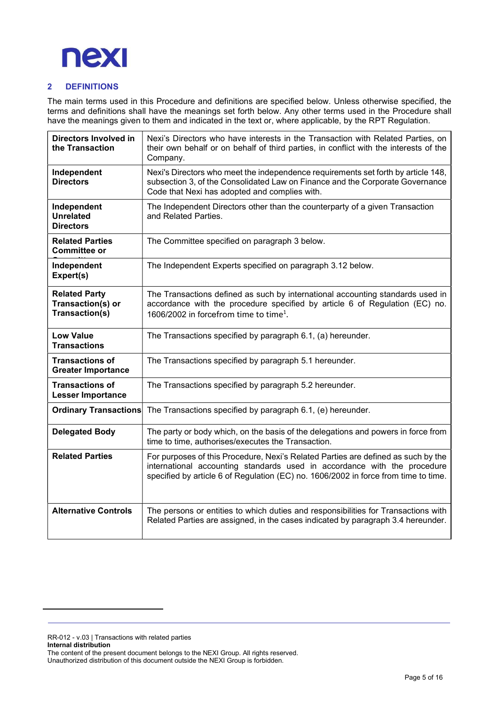

# 2 DEFINITIONS

The main terms used in this Procedure and definitions are specified below. Unless otherwise specified, the terms and definitions shall have the meanings set forth below. Any other terms used in the Procedure shall have the meanings given to them and indicated in the text or, where applicable, by the RPT Regulation.

| <b>Directors Involved in</b><br>the Transaction             | Nexi's Directors who have interests in the Transaction with Related Parties, on<br>their own behalf or on behalf of third parties, in conflict with the interests of the<br>Company.                                                                 |
|-------------------------------------------------------------|------------------------------------------------------------------------------------------------------------------------------------------------------------------------------------------------------------------------------------------------------|
| Independent<br><b>Directors</b>                             | Nexi's Directors who meet the independence requirements set forth by article 148,<br>subsection 3, of the Consolidated Law on Finance and the Corporate Governance<br>Code that Nexi has adopted and complies with.                                  |
| Independent<br><b>Unrelated</b><br><b>Directors</b>         | The Independent Directors other than the counterparty of a given Transaction<br>and Related Parties.                                                                                                                                                 |
| <b>Related Parties</b><br><b>Committee or</b>               | The Committee specified on paragraph 3 below.                                                                                                                                                                                                        |
| Independent<br>Expert(s)                                    | The Independent Experts specified on paragraph 3.12 below.                                                                                                                                                                                           |
| <b>Related Party</b><br>Transaction(s) or<br>Transaction(s) | The Transactions defined as such by international accounting standards used in<br>accordance with the procedure specified by article 6 of Regulation (EC) no.<br>1606/2002 in forcefrom time to time <sup>1</sup> .                                  |
| <b>Low Value</b><br><b>Transactions</b>                     | The Transactions specified by paragraph 6.1, (a) hereunder.                                                                                                                                                                                          |
| <b>Transactions of</b><br><b>Greater Importance</b>         | The Transactions specified by paragraph 5.1 hereunder.                                                                                                                                                                                               |
| <b>Transactions of</b><br><b>Lesser Importance</b>          | The Transactions specified by paragraph 5.2 hereunder.                                                                                                                                                                                               |
| <b>Ordinary Transactions</b>                                | The Transactions specified by paragraph 6.1, (e) hereunder.                                                                                                                                                                                          |
| <b>Delegated Body</b>                                       | The party or body which, on the basis of the delegations and powers in force from<br>time to time, authorises/executes the Transaction.                                                                                                              |
| <b>Related Parties</b>                                      | For purposes of this Procedure, Nexi's Related Parties are defined as such by the<br>international accounting standards used in accordance with the procedure<br>specified by article 6 of Regulation (EC) no. 1606/2002 in force from time to time. |
| <b>Alternative Controls</b>                                 | The persons or entities to which duties and responsibilities for Transactions with<br>Related Parties are assigned, in the cases indicated by paragraph 3.4 hereunder.                                                                               |

RR-012 - v.03 | Transactions with related parties Internal distribution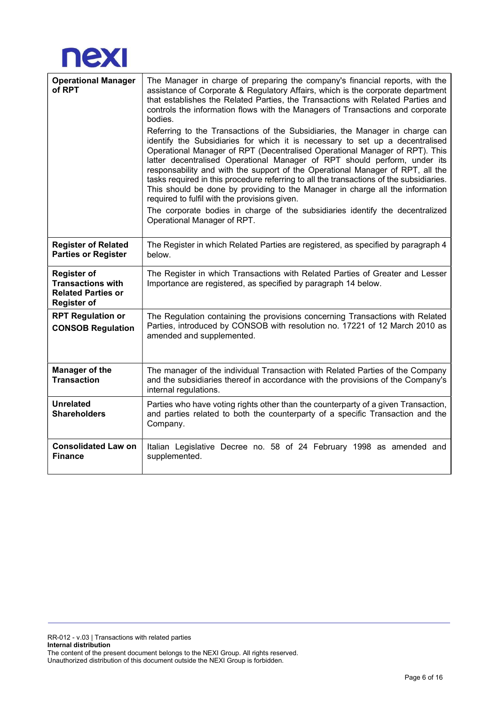

| <b>Operational Manager</b><br>of RPT                                                              | The Manager in charge of preparing the company's financial reports, with the<br>assistance of Corporate & Regulatory Affairs, which is the corporate department<br>that establishes the Related Parties, the Transactions with Related Parties and<br>controls the information flows with the Managers of Transactions and corporate<br>bodies.<br>Referring to the Transactions of the Subsidiaries, the Manager in charge can<br>identify the Subsidiaries for which it is necessary to set up a decentralised<br>Operational Manager of RPT (Decentralised Operational Manager of RPT). This<br>latter decentralised Operational Manager of RPT should perform, under its<br>responsability and with the support of the Operational Manager of RPT, all the<br>tasks required in this procedure referring to all the transactions of the subsidiaries.<br>This should be done by providing to the Manager in charge all the information<br>required to fulfil with the provisions given.<br>The corporate bodies in charge of the subsidiaries identify the decentralized<br>Operational Manager of RPT. |
|---------------------------------------------------------------------------------------------------|-------------------------------------------------------------------------------------------------------------------------------------------------------------------------------------------------------------------------------------------------------------------------------------------------------------------------------------------------------------------------------------------------------------------------------------------------------------------------------------------------------------------------------------------------------------------------------------------------------------------------------------------------------------------------------------------------------------------------------------------------------------------------------------------------------------------------------------------------------------------------------------------------------------------------------------------------------------------------------------------------------------------------------------------------------------------------------------------------------------|
| <b>Register of Related</b><br><b>Parties or Register</b>                                          | The Register in which Related Parties are registered, as specified by paragraph 4<br>below.                                                                                                                                                                                                                                                                                                                                                                                                                                                                                                                                                                                                                                                                                                                                                                                                                                                                                                                                                                                                                 |
| <b>Register of</b><br><b>Transactions with</b><br><b>Related Parties or</b><br><b>Register of</b> | The Register in which Transactions with Related Parties of Greater and Lesser<br>Importance are registered, as specified by paragraph 14 below.                                                                                                                                                                                                                                                                                                                                                                                                                                                                                                                                                                                                                                                                                                                                                                                                                                                                                                                                                             |
| <b>RPT Regulation or</b><br><b>CONSOB Regulation</b>                                              | The Regulation containing the provisions concerning Transactions with Related<br>Parties, introduced by CONSOB with resolution no. 17221 of 12 March 2010 as<br>amended and supplemented.                                                                                                                                                                                                                                                                                                                                                                                                                                                                                                                                                                                                                                                                                                                                                                                                                                                                                                                   |
| <b>Manager of the</b><br><b>Transaction</b>                                                       | The manager of the individual Transaction with Related Parties of the Company<br>and the subsidiaries thereof in accordance with the provisions of the Company's<br>internal regulations.                                                                                                                                                                                                                                                                                                                                                                                                                                                                                                                                                                                                                                                                                                                                                                                                                                                                                                                   |
| <b>Unrelated</b><br><b>Shareholders</b>                                                           | Parties who have voting rights other than the counterparty of a given Transaction,<br>and parties related to both the counterparty of a specific Transaction and the<br>Company.                                                                                                                                                                                                                                                                                                                                                                                                                                                                                                                                                                                                                                                                                                                                                                                                                                                                                                                            |
| <b>Consolidated Law on</b><br><b>Finance</b>                                                      | Italian Legislative Decree no. 58 of 24 February 1998 as amended and<br>supplemented.                                                                                                                                                                                                                                                                                                                                                                                                                                                                                                                                                                                                                                                                                                                                                                                                                                                                                                                                                                                                                       |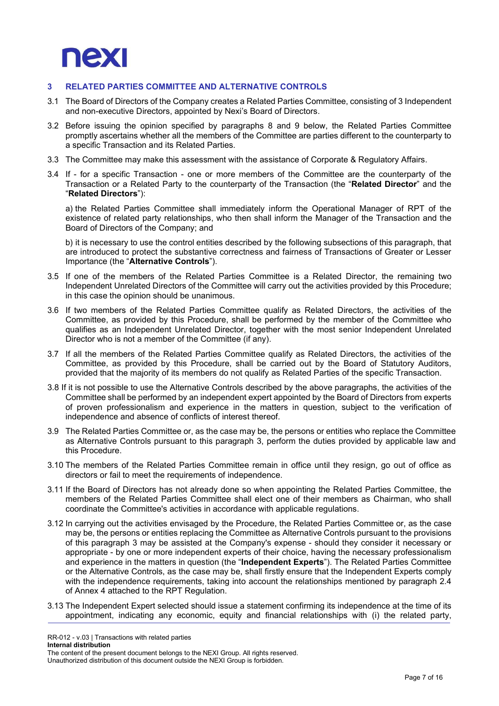

## 3 RELATED PARTIES COMMITTEE AND ALTERNATIVE CONTROLS

- 3.1 The Board of Directors of the Company creates a Related Parties Committee, consisting of 3 Independent and non-executive Directors, appointed by Nexi's Board of Directors.
- 3.2 Before issuing the opinion specified by paragraphs 8 and 9 below, the Related Parties Committee promptly ascertains whether all the members of the Committee are parties different to the counterparty to a specific Transaction and its Related Parties.
- 3.3 The Committee may make this assessment with the assistance of Corporate & Regulatory Affairs.
- 3.4 If for a specific Transaction one or more members of the Committee are the counterparty of the Transaction or a Related Party to the counterparty of the Transaction (the "Related Director" and the "Related Directors"):

a) the Related Parties Committee shall immediately inform the Operational Manager of RPT of the existence of related party relationships, who then shall inform the Manager of the Transaction and the Board of Directors of the Company; and

b) it is necessary to use the control entities described by the following subsections of this paragraph, that are introduced to protect the substantive correctness and fairness of Transactions of Greater or Lesser Importance (the "Alternative Controls").

- 3.5 If one of the members of the Related Parties Committee is a Related Director, the remaining two Independent Unrelated Directors of the Committee will carry out the activities provided by this Procedure; in this case the opinion should be unanimous.
- 3.6 If two members of the Related Parties Committee qualify as Related Directors, the activities of the Committee, as provided by this Procedure, shall be performed by the member of the Committee who qualifies as an Independent Unrelated Director, together with the most senior Independent Unrelated Director who is not a member of the Committee (if any).
- 3.7 If all the members of the Related Parties Committee qualify as Related Directors, the activities of the Committee, as provided by this Procedure, shall be carried out by the Board of Statutory Auditors, provided that the majority of its members do not qualify as Related Parties of the specific Transaction.
- 3.8 If it is not possible to use the Alternative Controls described by the above paragraphs, the activities of the Committee shall be performed by an independent expert appointed by the Board of Directors from experts of proven professionalism and experience in the matters in question, subject to the verification of independence and absence of conflicts of interest thereof.
- 3.9 The Related Parties Committee or, as the case may be, the persons or entities who replace the Committee as Alternative Controls pursuant to this paragraph 3, perform the duties provided by applicable law and this Procedure.
- 3.10 The members of the Related Parties Committee remain in office until they resign, go out of office as directors or fail to meet the requirements of independence.
- 3.11 If the Board of Directors has not already done so when appointing the Related Parties Committee, the members of the Related Parties Committee shall elect one of their members as Chairman, who shall coordinate the Committee's activities in accordance with applicable regulations.
- 3.12 In carrying out the activities envisaged by the Procedure, the Related Parties Committee or, as the case may be, the persons or entities replacing the Committee as Alternative Controls pursuant to the provisions of this paragraph 3 may be assisted at the Company's expense - should they consider it necessary or appropriate - by one or more independent experts of their choice, having the necessary professionalism and experience in the matters in question (the "Independent Experts"). The Related Parties Committee or the Alternative Controls, as the case may be, shall firstly ensure that the Independent Experts comply with the independence requirements, taking into account the relationships mentioned by paragraph 2.4 of Annex 4 attached to the RPT Regulation.
- 3.13 The Independent Expert selected should issue a statement confirming its independence at the time of its appointment, indicating any economic, equity and financial relationships with (i) the related party,

RR-012 - v.03 | Transactions with related parties Internal distribution

The content of the present document belongs to the NEXI Group. All rights reserved.

Unauthorized distribution of this document outside the NEXI Group is forbidden.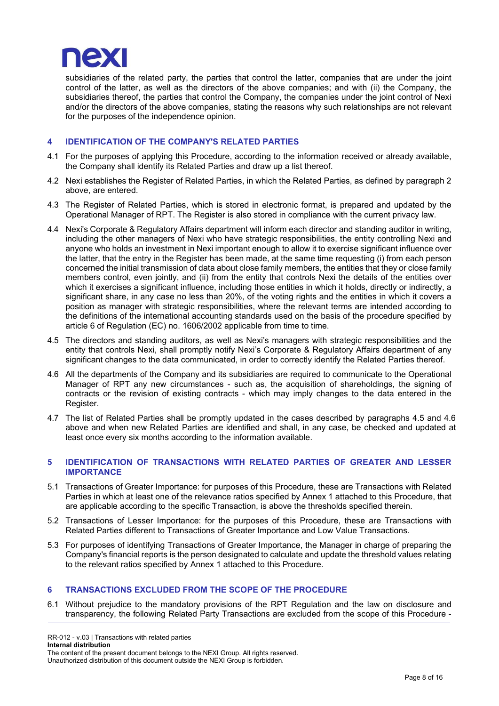

subsidiaries of the related party, the parties that control the latter, companies that are under the joint control of the latter, as well as the directors of the above companies; and with (ii) the Company, the subsidiaries thereof, the parties that control the Company, the companies under the joint control of Nexi and/or the directors of the above companies, stating the reasons why such relationships are not relevant for the purposes of the independence opinion.

#### 4 IDENTIFICATION OF THE COMPANY'S RELATED PARTIES

- 4.1 For the purposes of applying this Procedure, according to the information received or already available, the Company shall identify its Related Parties and draw up a list thereof.
- 4.2 Nexi establishes the Register of Related Parties, in which the Related Parties, as defined by paragraph 2 above, are entered.
- 4.3 The Register of Related Parties, which is stored in electronic format, is prepared and updated by the Operational Manager of RPT. The Register is also stored in compliance with the current privacy law.
- 4.4 Nexi's Corporate & Regulatory Affairs department will inform each director and standing auditor in writing, including the other managers of Nexi who have strategic responsibilities, the entity controlling Nexi and anyone who holds an investment in Nexi important enough to allow it to exercise significant influence over the latter, that the entry in the Register has been made, at the same time requesting (i) from each person concerned the initial transmission of data about close family members, the entities that they or close family members control, even jointly, and (ii) from the entity that controls Nexi the details of the entities over which it exercises a significant influence, including those entities in which it holds, directly or indirectly, a significant share, in any case no less than 20%, of the voting rights and the entities in which it covers a position as manager with strategic responsibilities, where the relevant terms are intended according to the definitions of the international accounting standards used on the basis of the procedure specified by article 6 of Regulation (EC) no. 1606/2002 applicable from time to time.
- 4.5 The directors and standing auditors, as well as Nexi's managers with strategic responsibilities and the entity that controls Nexi, shall promptly notify Nexi's Corporate & Regulatory Affairs department of any significant changes to the data communicated, in order to correctly identify the Related Parties thereof.
- 4.6 All the departments of the Company and its subsidiaries are required to communicate to the Operational Manager of RPT any new circumstances - such as, the acquisition of shareholdings, the signing of contracts or the revision of existing contracts - which may imply changes to the data entered in the Register.
- 4.7 The list of Related Parties shall be promptly updated in the cases described by paragraphs 4.5 and 4.6 above and when new Related Parties are identified and shall, in any case, be checked and updated at least once every six months according to the information available.

#### 5 IDENTIFICATION OF TRANSACTIONS WITH RELATED PARTIES OF GREATER AND LESSER IMPORTANCE

- 5.1 Transactions of Greater Importance: for purposes of this Procedure, these are Transactions with Related Parties in which at least one of the relevance ratios specified by Annex 1 attached to this Procedure, that are applicable according to the specific Transaction, is above the thresholds specified therein.
- 5.2 Transactions of Lesser Importance: for the purposes of this Procedure, these are Transactions with Related Parties different to Transactions of Greater Importance and Low Value Transactions.
- 5.3 For purposes of identifying Transactions of Greater Importance, the Manager in charge of preparing the Company's financial reports is the person designated to calculate and update the threshold values relating to the relevant ratios specified by Annex 1 attached to this Procedure.

## 6 TRANSACTIONS EXCLUDED FROM THE SCOPE OF THE PROCEDURE

6.1 Without prejudice to the mandatory provisions of the RPT Regulation and the law on disclosure and transparency, the following Related Party Transactions are excluded from the scope of this Procedure -

RR-012 - v.03 | Transactions with related parties

Internal distribution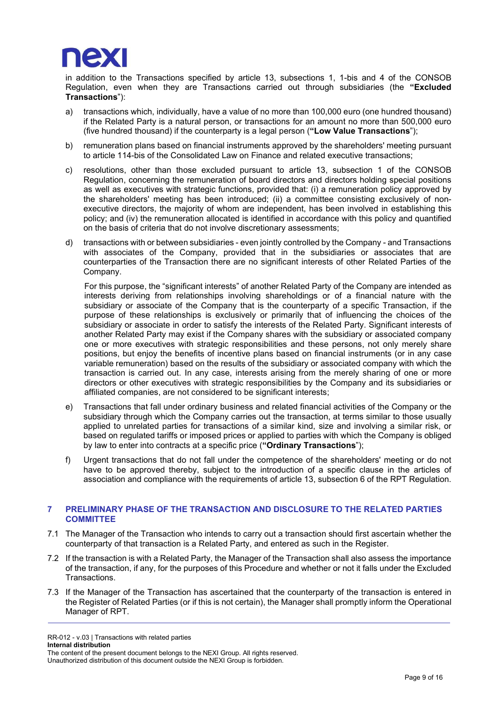

in addition to the Transactions specified by article 13, subsections 1, 1-bis and 4 of the CONSOB Regulation, even when they are Transactions carried out through subsidiaries (the "Excluded Transactions"):

- a) transactions which, individually, have a value of no more than 100,000 euro (one hundred thousand) if the Related Party is a natural person, or transactions for an amount no more than 500,000 euro (five hundred thousand) if the counterparty is a legal person ("Low Value Transactions");
- b) remuneration plans based on financial instruments approved by the shareholders' meeting pursuant to article 114-bis of the Consolidated Law on Finance and related executive transactions;
- c) resolutions, other than those excluded pursuant to article 13, subsection 1 of the CONSOB Regulation, concerning the remuneration of board directors and directors holding special positions as well as executives with strategic functions, provided that: (i) a remuneration policy approved by the shareholders' meeting has been introduced; (ii) a committee consisting exclusively of nonexecutive directors, the majority of whom are independent, has been involved in establishing this policy; and (iv) the remuneration allocated is identified in accordance with this policy and quantified on the basis of criteria that do not involve discretionary assessments;
- d) transactions with or between subsidiaries even jointly controlled by the Company and Transactions with associates of the Company, provided that in the subsidiaries or associates that are counterparties of the Transaction there are no significant interests of other Related Parties of the Company.

For this purpose, the "significant interests" of another Related Party of the Company are intended as interests deriving from relationships involving shareholdings or of a financial nature with the subsidiary or associate of the Company that is the counterparty of a specific Transaction, if the purpose of these relationships is exclusively or primarily that of influencing the choices of the subsidiary or associate in order to satisfy the interests of the Related Party. Significant interests of another Related Party may exist if the Company shares with the subsidiary or associated company one or more executives with strategic responsibilities and these persons, not only merely share positions, but enjoy the benefits of incentive plans based on financial instruments (or in any case variable remuneration) based on the results of the subsidiary or associated company with which the transaction is carried out. In any case, interests arising from the merely sharing of one or more directors or other executives with strategic responsibilities by the Company and its subsidiaries or affiliated companies, are not considered to be significant interests;

- e) Transactions that fall under ordinary business and related financial activities of the Company or the subsidiary through which the Company carries out the transaction, at terms similar to those usually applied to unrelated parties for transactions of a similar kind, size and involving a similar risk, or based on regulated tariffs or imposed prices or applied to parties with which the Company is obliged by law to enter into contracts at a specific price ("Ordinary Transactions");
- f) Urgent transactions that do not fall under the competence of the shareholders' meeting or do not have to be approved thereby, subject to the introduction of a specific clause in the articles of association and compliance with the requirements of article 13, subsection 6 of the RPT Regulation.

## 7 PRELIMINARY PHASE OF THE TRANSACTION AND DISCLOSURE TO THE RELATED PARTIES **COMMITTEE**

- 7.1 The Manager of the Transaction who intends to carry out a transaction should first ascertain whether the counterparty of that transaction is a Related Party, and entered as such in the Register.
- 7.2 If the transaction is with a Related Party, the Manager of the Transaction shall also assess the importance of the transaction, if any, for the purposes of this Procedure and whether or not it falls under the Excluded Transactions.
- 7.3 If the Manager of the Transaction has ascertained that the counterparty of the transaction is entered in the Register of Related Parties (or if this is not certain), the Manager shall promptly inform the Operational Manager of RPT.

RR-012 - v.03 | Transactions with related parties Internal distribution The content of the present document belongs to the NEXI Group. All rights reserved. Unauthorized distribution of this document outside the NEXI Group is forbidden.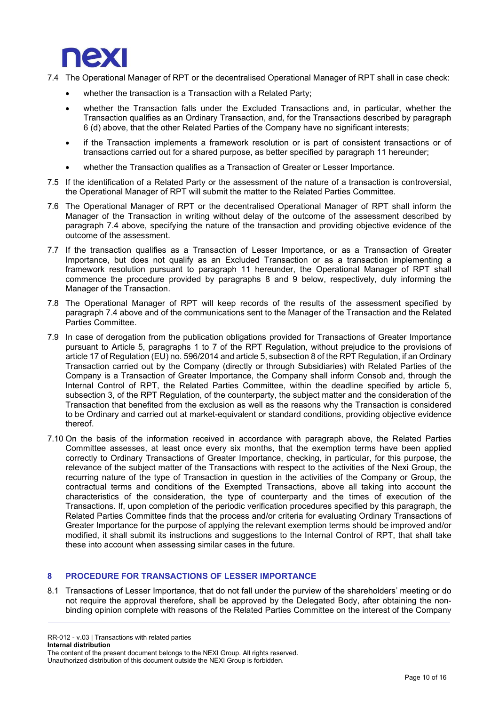

- 7.4 The Operational Manager of RPT or the decentralised Operational Manager of RPT shall in case check:
	- whether the transaction is a Transaction with a Related Party;
	- whether the Transaction falls under the Excluded Transactions and, in particular, whether the Transaction qualifies as an Ordinary Transaction, and, for the Transactions described by paragraph 6 (d) above, that the other Related Parties of the Company have no significant interests;
	- if the Transaction implements a framework resolution or is part of consistent transactions or of transactions carried out for a shared purpose, as better specified by paragraph 11 hereunder;
	- whether the Transaction qualifies as a Transaction of Greater or Lesser Importance.
- 7.5 If the identification of a Related Party or the assessment of the nature of a transaction is controversial, the Operational Manager of RPT will submit the matter to the Related Parties Committee.
- 7.6 The Operational Manager of RPT or the decentralised Operational Manager of RPT shall inform the Manager of the Transaction in writing without delay of the outcome of the assessment described by paragraph 7.4 above, specifying the nature of the transaction and providing objective evidence of the outcome of the assessment.
- 7.7 If the transaction qualifies as a Transaction of Lesser Importance, or as a Transaction of Greater Importance, but does not qualify as an Excluded Transaction or as a transaction implementing a framework resolution pursuant to paragraph 11 hereunder, the Operational Manager of RPT shall commence the procedure provided by paragraphs 8 and 9 below, respectively, duly informing the Manager of the Transaction.
- 7.8 The Operational Manager of RPT will keep records of the results of the assessment specified by paragraph 7.4 above and of the communications sent to the Manager of the Transaction and the Related Parties Committee.
- 7.9 In case of derogation from the publication obligations provided for Transactions of Greater Importance pursuant to Article 5, paragraphs 1 to 7 of the RPT Regulation, without prejudice to the provisions of article 17 of Regulation (EU) no. 596/2014 and article 5, subsection 8 of the RPT Regulation, if an Ordinary Transaction carried out by the Company (directly or through Subsidiaries) with Related Parties of the Company is a Transaction of Greater Importance, the Company shall inform Consob and, through the Internal Control of RPT, the Related Parties Committee, within the deadline specified by article 5, subsection 3, of the RPT Regulation, of the counterparty, the subject matter and the consideration of the Transaction that benefited from the exclusion as well as the reasons why the Transaction is considered to be Ordinary and carried out at market-equivalent or standard conditions, providing objective evidence thereof.
- 7.10 On the basis of the information received in accordance with paragraph above, the Related Parties Committee assesses, at least once every six months, that the exemption terms have been applied correctly to Ordinary Transactions of Greater Importance, checking, in particular, for this purpose, the relevance of the subject matter of the Transactions with respect to the activities of the Nexi Group, the recurring nature of the type of Transaction in question in the activities of the Company or Group, the contractual terms and conditions of the Exempted Transactions, above all taking into account the characteristics of the consideration, the type of counterparty and the times of execution of the Transactions. If, upon completion of the periodic verification procedures specified by this paragraph, the Related Parties Committee finds that the process and/or criteria for evaluating Ordinary Transactions of Greater Importance for the purpose of applying the relevant exemption terms should be improved and/or modified, it shall submit its instructions and suggestions to the Internal Control of RPT, that shall take these into account when assessing similar cases in the future.

# 8 PROCEDURE FOR TRANSACTIONS OF LESSER IMPORTANCE

8.1 Transactions of Lesser Importance, that do not fall under the purview of the shareholders' meeting or do not require the approval therefore, shall be approved by the Delegated Body, after obtaining the nonbinding opinion complete with reasons of the Related Parties Committee on the interest of the Company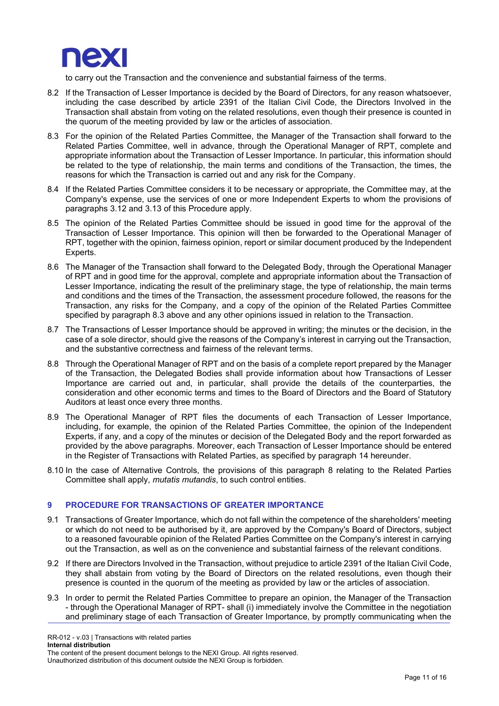

to carry out the Transaction and the convenience and substantial fairness of the terms.

- 8.2 If the Transaction of Lesser Importance is decided by the Board of Directors, for any reason whatsoever, including the case described by article 2391 of the Italian Civil Code, the Directors Involved in the Transaction shall abstain from voting on the related resolutions, even though their presence is counted in the quorum of the meeting provided by law or the articles of association.
- 8.3 For the opinion of the Related Parties Committee, the Manager of the Transaction shall forward to the Related Parties Committee, well in advance, through the Operational Manager of RPT, complete and appropriate information about the Transaction of Lesser Importance. In particular, this information should be related to the type of relationship, the main terms and conditions of the Transaction, the times, the reasons for which the Transaction is carried out and any risk for the Company.
- 8.4 If the Related Parties Committee considers it to be necessary or appropriate, the Committee may, at the Company's expense, use the services of one or more Independent Experts to whom the provisions of paragraphs 3.12 and 3.13 of this Procedure apply.
- 8.5 The opinion of the Related Parties Committee should be issued in good time for the approval of the Transaction of Lesser Importance. This opinion will then be forwarded to the Operational Manager of RPT, together with the opinion, fairness opinion, report or similar document produced by the Independent Experts.
- 8.6 The Manager of the Transaction shall forward to the Delegated Body, through the Operational Manager of RPT and in good time for the approval, complete and appropriate information about the Transaction of Lesser Importance, indicating the result of the preliminary stage, the type of relationship, the main terms and conditions and the times of the Transaction, the assessment procedure followed, the reasons for the Transaction, any risks for the Company, and a copy of the opinion of the Related Parties Committee specified by paragraph 8.3 above and any other opinions issued in relation to the Transaction.
- 8.7 The Transactions of Lesser Importance should be approved in writing; the minutes or the decision, in the case of a sole director, should give the reasons of the Company's interest in carrying out the Transaction, and the substantive correctness and fairness of the relevant terms.
- 8.8 Through the Operational Manager of RPT and on the basis of a complete report prepared by the Manager of the Transaction, the Delegated Bodies shall provide information about how Transactions of Lesser Importance are carried out and, in particular, shall provide the details of the counterparties, the consideration and other economic terms and times to the Board of Directors and the Board of Statutory Auditors at least once every three months.
- 8.9 The Operational Manager of RPT files the documents of each Transaction of Lesser Importance, including, for example, the opinion of the Related Parties Committee, the opinion of the Independent Experts, if any, and a copy of the minutes or decision of the Delegated Body and the report forwarded as provided by the above paragraphs. Moreover, each Transaction of Lesser Importance should be entered in the Register of Transactions with Related Parties, as specified by paragraph 14 hereunder.
- 8.10 In the case of Alternative Controls, the provisions of this paragraph 8 relating to the Related Parties Committee shall apply, mutatis mutandis, to such control entities.

## 9 PROCEDURE FOR TRANSACTIONS OF GREATER IMPORTANCE

- 9.1 Transactions of Greater Importance, which do not fall within the competence of the shareholders' meeting or which do not need to be authorised by it, are approved by the Company's Board of Directors, subject to a reasoned favourable opinion of the Related Parties Committee on the Company's interest in carrying out the Transaction, as well as on the convenience and substantial fairness of the relevant conditions.
- 9.2 If there are Directors Involved in the Transaction, without prejudice to article 2391 of the Italian Civil Code, they shall abstain from voting by the Board of Directors on the related resolutions, even though their presence is counted in the quorum of the meeting as provided by law or the articles of association.
- 9.3 In order to permit the Related Parties Committee to prepare an opinion, the Manager of the Transaction - through the Operational Manager of RPT- shall (i) immediately involve the Committee in the negotiation and preliminary stage of each Transaction of Greater Importance, by promptly communicating when the

RR-012 - v.03 | Transactions with related parties Internal distribution

The content of the present document belongs to the NEXI Group. All rights reserved.

Unauthorized distribution of this document outside the NEXI Group is forbidden.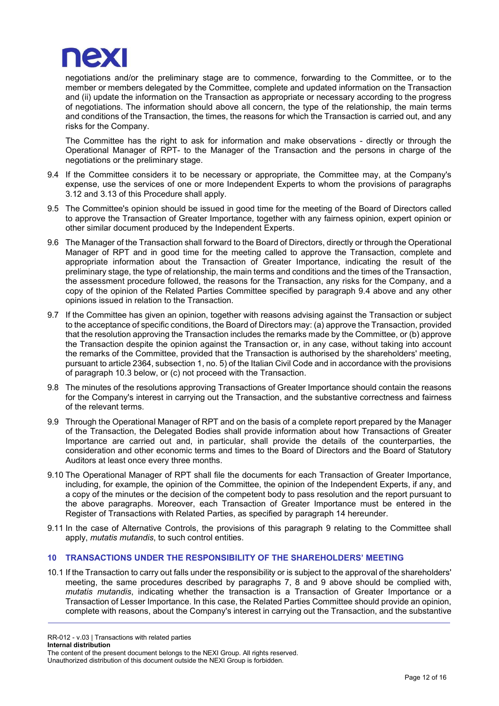

negotiations and/or the preliminary stage are to commence, forwarding to the Committee, or to the member or members delegated by the Committee, complete and updated information on the Transaction and (ii) update the information on the Transaction as appropriate or necessary according to the progress of negotiations. The information should above all concern, the type of the relationship, the main terms and conditions of the Transaction, the times, the reasons for which the Transaction is carried out, and any risks for the Company.

The Committee has the right to ask for information and make observations - directly or through the Operational Manager of RPT- to the Manager of the Transaction and the persons in charge of the negotiations or the preliminary stage.

- 9.4 If the Committee considers it to be necessary or appropriate, the Committee may, at the Company's expense, use the services of one or more Independent Experts to whom the provisions of paragraphs 3.12 and 3.13 of this Procedure shall apply.
- 9.5 The Committee's opinion should be issued in good time for the meeting of the Board of Directors called to approve the Transaction of Greater Importance, together with any fairness opinion, expert opinion or other similar document produced by the Independent Experts.
- 9.6 The Manager of the Transaction shall forward to the Board of Directors, directly or through the Operational Manager of RPT and in good time for the meeting called to approve the Transaction, complete and appropriate information about the Transaction of Greater Importance, indicating the result of the preliminary stage, the type of relationship, the main terms and conditions and the times of the Transaction, the assessment procedure followed, the reasons for the Transaction, any risks for the Company, and a copy of the opinion of the Related Parties Committee specified by paragraph 9.4 above and any other opinions issued in relation to the Transaction.
- 9.7 If the Committee has given an opinion, together with reasons advising against the Transaction or subject to the acceptance of specific conditions, the Board of Directors may: (a) approve the Transaction, provided that the resolution approving the Transaction includes the remarks made by the Committee, or (b) approve the Transaction despite the opinion against the Transaction or, in any case, without taking into account the remarks of the Committee, provided that the Transaction is authorised by the shareholders' meeting, pursuant to article 2364, subsection 1, no. 5) of the Italian Civil Code and in accordance with the provisions of paragraph 10.3 below, or (c) not proceed with the Transaction.
- 9.8 The minutes of the resolutions approving Transactions of Greater Importance should contain the reasons for the Company's interest in carrying out the Transaction, and the substantive correctness and fairness of the relevant terms.
- 9.9 Through the Operational Manager of RPT and on the basis of a complete report prepared by the Manager of the Transaction, the Delegated Bodies shall provide information about how Transactions of Greater Importance are carried out and, in particular, shall provide the details of the counterparties, the consideration and other economic terms and times to the Board of Directors and the Board of Statutory Auditors at least once every three months.
- 9.10 The Operational Manager of RPT shall file the documents for each Transaction of Greater Importance, including, for example, the opinion of the Committee, the opinion of the Independent Experts, if any, and a copy of the minutes or the decision of the competent body to pass resolution and the report pursuant to the above paragraphs. Moreover, each Transaction of Greater Importance must be entered in the Register of Transactions with Related Parties, as specified by paragraph 14 hereunder.
- 9.11 In the case of Alternative Controls, the provisions of this paragraph 9 relating to the Committee shall apply, *mutatis mutandis*, to such control entities.

## 10 TRANSACTIONS UNDER THE RESPONSIBILITY OF THE SHAREHOLDERS' MEETING

10.1 If the Transaction to carry out falls under the responsibility or is subject to the approval of the shareholders' meeting, the same procedures described by paragraphs 7, 8 and 9 above should be complied with, mutatis mutandis, indicating whether the transaction is a Transaction of Greater Importance or a Transaction of Lesser Importance. In this case, the Related Parties Committee should provide an opinion, complete with reasons, about the Company's interest in carrying out the Transaction, and the substantive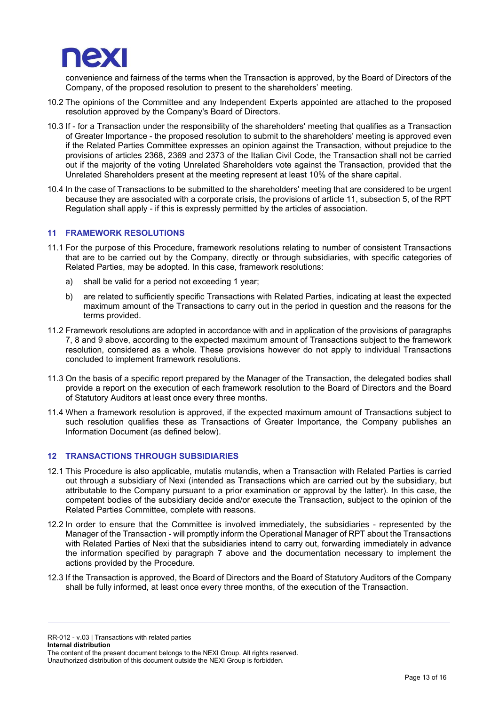

convenience and fairness of the terms when the Transaction is approved, by the Board of Directors of the Company, of the proposed resolution to present to the shareholders' meeting.

- 10.2 The opinions of the Committee and any Independent Experts appointed are attached to the proposed resolution approved by the Company's Board of Directors.
- 10.3 If for a Transaction under the responsibility of the shareholders' meeting that qualifies as a Transaction of Greater Importance - the proposed resolution to submit to the shareholders' meeting is approved even if the Related Parties Committee expresses an opinion against the Transaction, without prejudice to the provisions of articles 2368, 2369 and 2373 of the Italian Civil Code, the Transaction shall not be carried out if the majority of the voting Unrelated Shareholders vote against the Transaction, provided that the Unrelated Shareholders present at the meeting represent at least 10% of the share capital.
- 10.4 In the case of Transactions to be submitted to the shareholders' meeting that are considered to be urgent because they are associated with a corporate crisis, the provisions of article 11, subsection 5, of the RPT Regulation shall apply - if this is expressly permitted by the articles of association.

## 11 FRAMEWORK RESOLUTIONS

- 11.1 For the purpose of this Procedure, framework resolutions relating to number of consistent Transactions that are to be carried out by the Company, directly or through subsidiaries, with specific categories of Related Parties, may be adopted. In this case, framework resolutions:
	- a) shall be valid for a period not exceeding 1 year;
	- b) are related to sufficiently specific Transactions with Related Parties, indicating at least the expected maximum amount of the Transactions to carry out in the period in question and the reasons for the terms provided.
- 11.2 Framework resolutions are adopted in accordance with and in application of the provisions of paragraphs 7, 8 and 9 above, according to the expected maximum amount of Transactions subject to the framework resolution, considered as a whole. These provisions however do not apply to individual Transactions concluded to implement framework resolutions.
- 11.3 On the basis of a specific report prepared by the Manager of the Transaction, the delegated bodies shall provide a report on the execution of each framework resolution to the Board of Directors and the Board of Statutory Auditors at least once every three months.
- 11.4 When a framework resolution is approved, if the expected maximum amount of Transactions subject to such resolution qualifies these as Transactions of Greater Importance, the Company publishes an Information Document (as defined below).

## 12 TRANSACTIONS THROUGH SUBSIDIARIES

- 12.1 This Procedure is also applicable, mutatis mutandis, when a Transaction with Related Parties is carried out through a subsidiary of Nexi (intended as Transactions which are carried out by the subsidiary, but attributable to the Company pursuant to a prior examination or approval by the latter). In this case, the competent bodies of the subsidiary decide and/or execute the Transaction, subject to the opinion of the Related Parties Committee, complete with reasons.
- 12.2 In order to ensure that the Committee is involved immediately, the subsidiaries represented by the Manager of the Transaction - will promptly inform the Operational Manager of RPT about the Transactions with Related Parties of Nexi that the subsidiaries intend to carry out, forwarding immediately in advance the information specified by paragraph 7 above and the documentation necessary to implement the actions provided by the Procedure.
- 12.3 If the Transaction is approved, the Board of Directors and the Board of Statutory Auditors of the Company shall be fully informed, at least once every three months, of the execution of the Transaction.

RR-012 - v.03 | Transactions with related parties

Internal distribution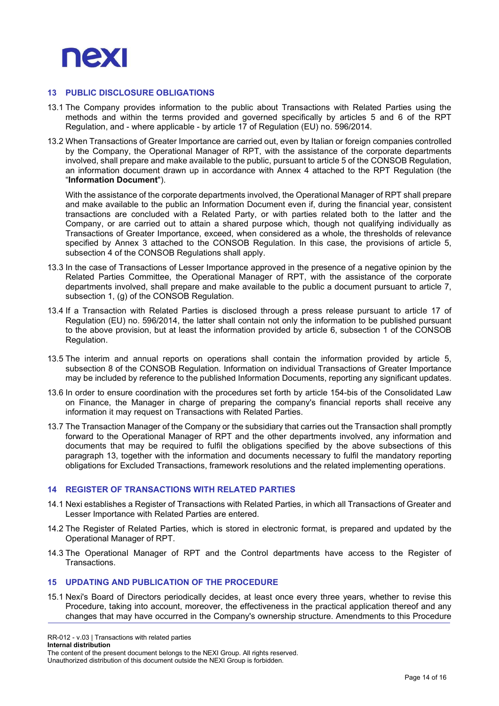

#### 13 PUBLIC DISCLOSURE OBLIGATIONS

- 13.1 The Company provides information to the public about Transactions with Related Parties using the methods and within the terms provided and governed specifically by articles 5 and 6 of the RPT Regulation, and - where applicable - by article 17 of Regulation (EU) no. 596/2014.
- 13.2 When Transactions of Greater Importance are carried out, even by Italian or foreign companies controlled by the Company, the Operational Manager of RPT, with the assistance of the corporate departments involved, shall prepare and make available to the public, pursuant to article 5 of the CONSOB Regulation, an information document drawn up in accordance with Annex 4 attached to the RPT Regulation (the "Information Document").

With the assistance of the corporate departments involved, the Operational Manager of RPT shall prepare and make available to the public an Information Document even if, during the financial year, consistent transactions are concluded with a Related Party, or with parties related both to the latter and the Company, or are carried out to attain a shared purpose which, though not qualifying individually as Transactions of Greater Importance, exceed, when considered as a whole, the thresholds of relevance specified by Annex 3 attached to the CONSOB Regulation. In this case, the provisions of article 5, subsection 4 of the CONSOB Regulations shall apply.

- 13.3 In the case of Transactions of Lesser Importance approved in the presence of a negative opinion by the Related Parties Committee, the Operational Manager of RPT, with the assistance of the corporate departments involved, shall prepare and make available to the public a document pursuant to article 7, subsection 1, (g) of the CONSOB Regulation.
- 13.4 If a Transaction with Related Parties is disclosed through a press release pursuant to article 17 of Regulation (EU) no. 596/2014, the latter shall contain not only the information to be published pursuant to the above provision, but at least the information provided by article 6, subsection 1 of the CONSOB Regulation.
- 13.5 The interim and annual reports on operations shall contain the information provided by article 5, subsection 8 of the CONSOB Regulation. Information on individual Transactions of Greater Importance may be included by reference to the published Information Documents, reporting any significant updates.
- 13.6 In order to ensure coordination with the procedures set forth by article 154-bis of the Consolidated Law on Finance, the Manager in charge of preparing the company's financial reports shall receive any information it may request on Transactions with Related Parties.
- 13.7 The Transaction Manager of the Company or the subsidiary that carries out the Transaction shall promptly forward to the Operational Manager of RPT and the other departments involved, any information and documents that may be required to fulfil the obligations specified by the above subsections of this paragraph 13, together with the information and documents necessary to fulfil the mandatory reporting obligations for Excluded Transactions, framework resolutions and the related implementing operations.

#### 14 REGISTER OF TRANSACTIONS WITH RELATED PARTIES

- 14.1 Nexi establishes a Register of Transactions with Related Parties, in which all Transactions of Greater and Lesser Importance with Related Parties are entered.
- 14.2 The Register of Related Parties, which is stored in electronic format, is prepared and updated by the Operational Manager of RPT.
- 14.3 The Operational Manager of RPT and the Control departments have access to the Register of Transactions.

# 15 UPDATING AND PUBLICATION OF THE PROCEDURE

15.1 Nexi's Board of Directors periodically decides, at least once every three years, whether to revise this Procedure, taking into account, moreover, the effectiveness in the practical application thereof and any changes that may have occurred in the Company's ownership structure. Amendments to this Procedure

RR-012 - v.03 | Transactions with related parties

Internal distribution

The content of the present document belongs to the NEXI Group. All rights reserved.

Unauthorized distribution of this document outside the NEXI Group is forbidden.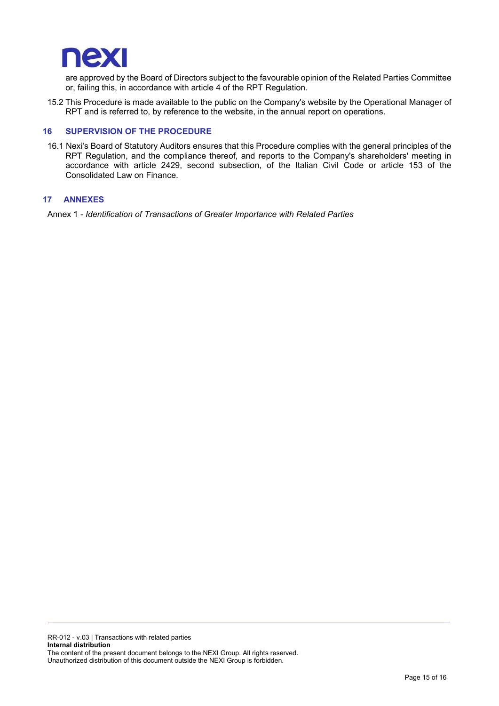

are approved by the Board of Directors subject to the favourable opinion of the Related Parties Committee or, failing this, in accordance with article 4 of the RPT Regulation.

15.2 This Procedure is made available to the public on the Company's website by the Operational Manager of RPT and is referred to, by reference to the website, in the annual report on operations.

#### 16 SUPERVISION OF THE PROCEDURE

16.1 Nexi's Board of Statutory Auditors ensures that this Procedure complies with the general principles of the RPT Regulation, and the compliance thereof, and reports to the Company's shareholders' meeting in accordance with article 2429, second subsection, of the Italian Civil Code or article 153 of the Consolidated Law on Finance.

#### 17 ANNEXES

Annex 1 - Identification of Transactions of Greater Importance with Related Parties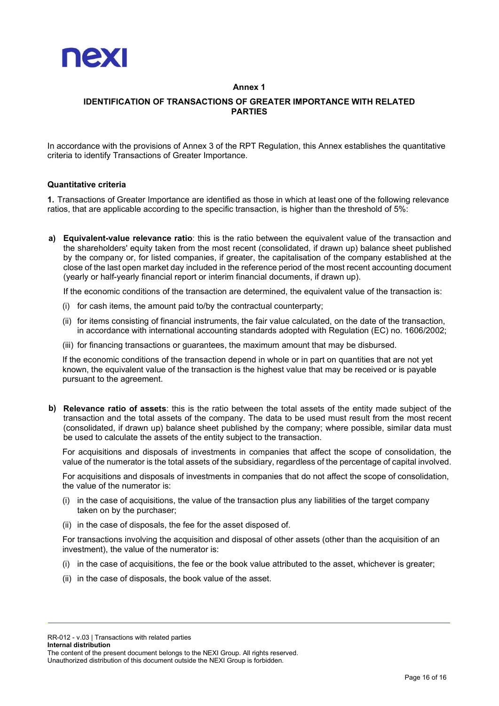

## Annex 1

# IDENTIFICATION OF TRANSACTIONS OF GREATER IMPORTANCE WITH RELATED PARTIES

In accordance with the provisions of Annex 3 of the RPT Regulation, this Annex establishes the quantitative criteria to identify Transactions of Greater Importance.

#### Quantitative criteria

1. Transactions of Greater Importance are identified as those in which at least one of the following relevance ratios, that are applicable according to the specific transaction, is higher than the threshold of 5%:

a) Equivalent-value relevance ratio: this is the ratio between the equivalent value of the transaction and the shareholders' equity taken from the most recent (consolidated, if drawn up) balance sheet published by the company or, for listed companies, if greater, the capitalisation of the company established at the close of the last open market day included in the reference period of the most recent accounting document (yearly or half-yearly financial report or interim financial documents, if drawn up).

If the economic conditions of the transaction are determined, the equivalent value of the transaction is:

- (i) for cash items, the amount paid to/by the contractual counterparty;
- (ii) for items consisting of financial instruments, the fair value calculated, on the date of the transaction, in accordance with international accounting standards adopted with Regulation (EC) no. 1606/2002;
- (iii) for financing transactions or guarantees, the maximum amount that may be disbursed.

If the economic conditions of the transaction depend in whole or in part on quantities that are not yet known, the equivalent value of the transaction is the highest value that may be received or is payable pursuant to the agreement.

b) Relevance ratio of assets: this is the ratio between the total assets of the entity made subject of the transaction and the total assets of the company. The data to be used must result from the most recent (consolidated, if drawn up) balance sheet published by the company; where possible, similar data must be used to calculate the assets of the entity subject to the transaction.

For acquisitions and disposals of investments in companies that affect the scope of consolidation, the value of the numerator is the total assets of the subsidiary, regardless of the percentage of capital involved.

For acquisitions and disposals of investments in companies that do not affect the scope of consolidation, the value of the numerator is:

- (i) in the case of acquisitions, the value of the transaction plus any liabilities of the target company taken on by the purchaser;
- (ii) in the case of disposals, the fee for the asset disposed of.

For transactions involving the acquisition and disposal of other assets (other than the acquisition of an investment), the value of the numerator is:

- (i) in the case of acquisitions, the fee or the book value attributed to the asset, whichever is greater;
- (ii) in the case of disposals, the book value of the asset.